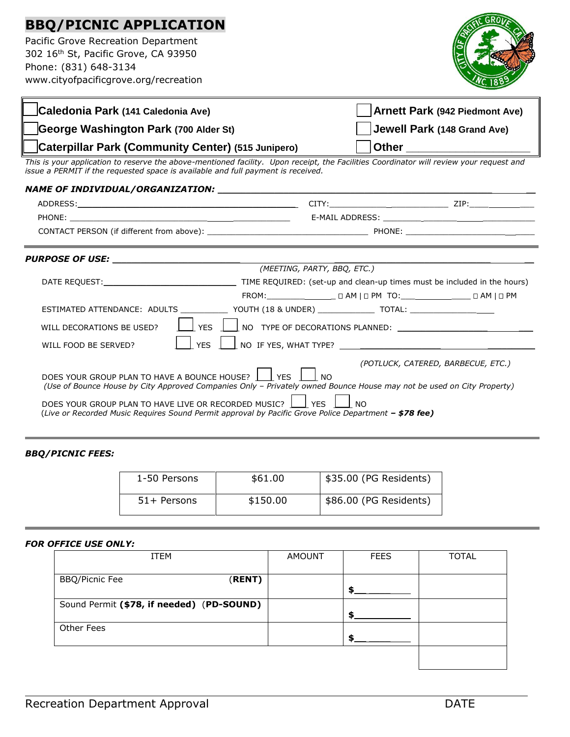## **BBQ/PICNIC APPLICATION**

Pacific Grove Recreation Department 302 16th St, Pacific Grove, CA 93950 Phone: (831) 648-3134 www.cityofpacificgrove.org/recreation

╔



| Caledonia Park (141 Caledonia Ave)                                                                                                                                                                                             |                           |                                                      | <b>Arnett Park (942 Piedmont Ave)</b> |  |
|--------------------------------------------------------------------------------------------------------------------------------------------------------------------------------------------------------------------------------|---------------------------|------------------------------------------------------|---------------------------------------|--|
| George Washington Park (700 Alder St)                                                                                                                                                                                          |                           |                                                      | Jewell Park (148 Grand Ave)           |  |
| Caterpillar Park (Community Center) (515 Junipero)                                                                                                                                                                             |                           | <b>Other Community Community Community Community</b> |                                       |  |
| This is your application to reserve the above-mentioned facility. Upon receipt, the Facilities Coordinator will review your request and<br>issue a PERMIT if the requested space is available and full payment is received.    |                           |                                                      |                                       |  |
| NAME OF INDIVIDUAL/ORGANIZATION: NAME OF INDIVIDUAL CONTRACT UNIVERSE IN THE UPSEUD OF THE UPSEUD OF THE UPSEUD OF THE UPSEUD OF THE UPSEUD OF THE UPSEUD OF THE UPSEUD OF THE UPSEUD OF THE UPSEUD OF THE UPSEUD OF THE UPSEU |                           |                                                      |                                       |  |
|                                                                                                                                                                                                                                |                           |                                                      |                                       |  |
|                                                                                                                                                                                                                                |                           |                                                      |                                       |  |
|                                                                                                                                                                                                                                |                           |                                                      |                                       |  |
| (MEETING, PARTY, BBQ, ETC.)                                                                                                                                                                                                    |                           |                                                      |                                       |  |
|                                                                                                                                                                                                                                |                           |                                                      |                                       |  |
|                                                                                                                                                                                                                                |                           |                                                      |                                       |  |
| ESTIMATED ATTENDANCE: ADULTS _____________ YOUTH (18 & UNDER) _____________ TOTAL: _________________                                                                                                                           |                           |                                                      |                                       |  |
| YES  <br>WILL DECORATIONS BE USED?                                                                                                                                                                                             |                           |                                                      |                                       |  |
| <b>YES</b><br>WILL FOOD BE SERVED?                                                                                                                                                                                             |                           |                                                      |                                       |  |
| DOES YOUR GROUP PLAN TO HAVE A BOUNCE HOUSE?<br>(Use of Bounce House by City Approved Companies Only - Privately owned Bounce House may not be used on City Property)                                                          | <b>I</b> YFS<br><b>NO</b> | (POTLUCK, CATERED, BARBECUE, ETC.)                   |                                       |  |

DOES YOUR GROUP PLAN TO HAVE LIVE OR RECORDED MUSIC?  $\boxed{\underline{\hspace{1cm}}}$  YES  $\boxed{\phantom{\text{1cm}}}$  NO (*Live or Recorded Music Requires Sound Permit approval by Pacific Grove Police Department – \$78 fee)*

## *BBQ/PICNIC FEES:*

| 1-50 Persons | \$61.00  | \$35.00 (PG Residents) |
|--------------|----------|------------------------|
| 51+ Persons  | \$150.00 | \$86.00 (PG Residents) |

## *FOR OFFICE USE ONLY:*

| ITEM                                      | <b>AMOUNT</b> | <b>FEES</b> | TOTAL |
|-------------------------------------------|---------------|-------------|-------|
| <b>BBQ/Picnic Fee</b><br>(RENT)           |               |             |       |
| Sound Permit (\$78, if needed) (PD-SOUND) |               |             |       |
| Other Fees                                |               |             |       |
|                                           |               |             |       |